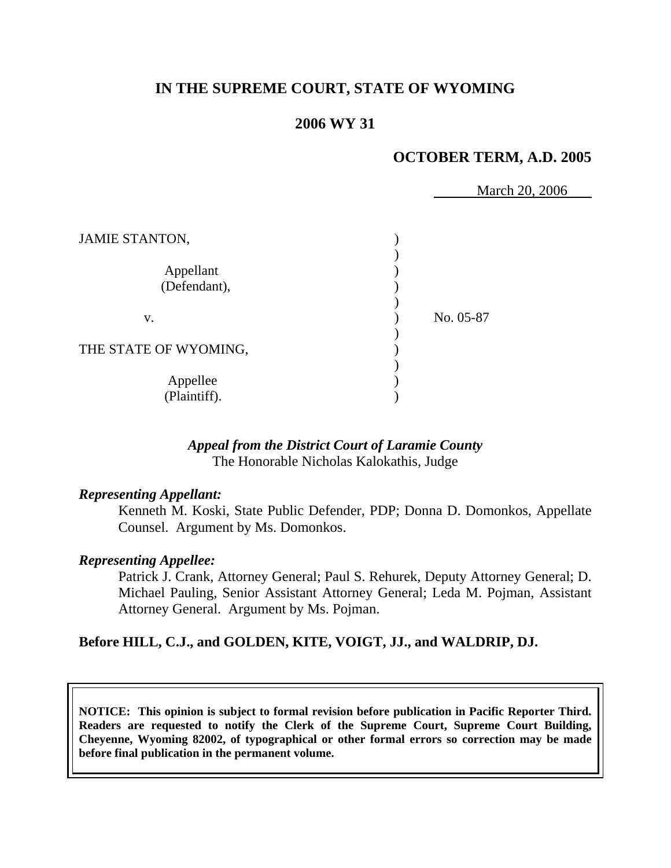# **IN THE SUPREME COURT, STATE OF WYOMING**

### **2006 WY 31**

### **OCTOBER TERM, A.D. 2005**

March 20, 2006

| <b>JAMIE STANTON,</b>     |           |
|---------------------------|-----------|
| Appellant<br>(Defendant), |           |
| V.                        | No. 05-87 |
| THE STATE OF WYOMING,     |           |
| Appellee<br>(Plaintiff).  |           |

#### *Appeal from the District Court of Laramie County* The Honorable Nicholas Kalokathis, Judge

#### *Representing Appellant:*

 Kenneth M. Koski, State Public Defender, PDP; Donna D. Domonkos, Appellate Counsel. Argument by Ms. Domonkos.

#### *Representing Appellee:*

 Patrick J. Crank, Attorney General; Paul S. Rehurek, Deputy Attorney General; D. Michael Pauling, Senior Assistant Attorney General; Leda M. Pojman, Assistant Attorney General. Argument by Ms. Pojman.

#### **Before HILL, C.J., and GOLDEN, KITE, VOIGT, JJ., and WALDRIP, DJ.**

**NOTICE: This opinion is subject to formal revision before publication in Pacific Reporter Third. Readers are requested to notify the Clerk of the Supreme Court, Supreme Court Building, Cheyenne, Wyoming 82002, of typographical or other formal errors so correction may be made before final publication in the permanent volume.**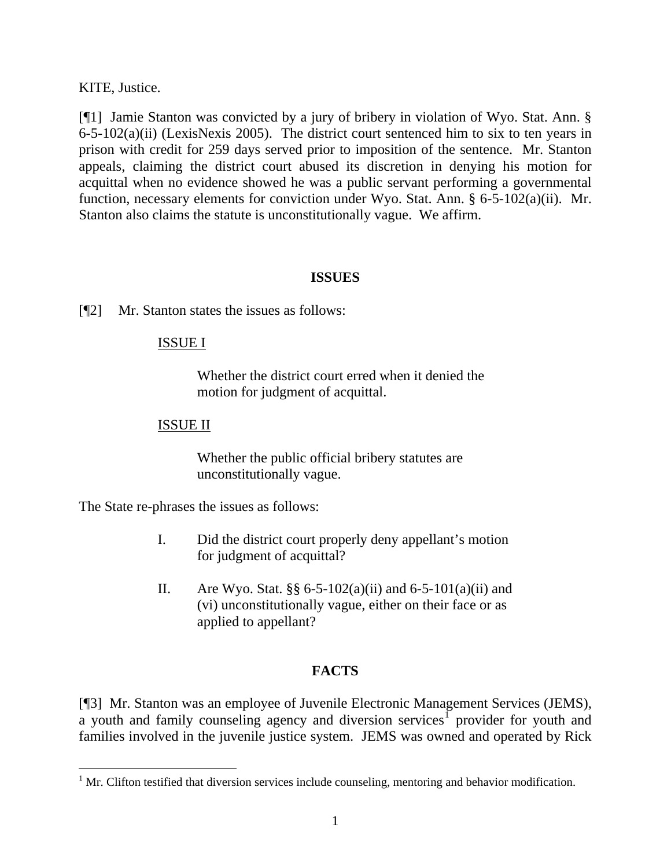KITE, Justice.

[¶1] Jamie Stanton was convicted by a jury of bribery in violation of Wyo. Stat. Ann. § 6-5-102(a)(ii) (LexisNexis 2005). The district court sentenced him to six to ten years in prison with credit for 259 days served prior to imposition of the sentence. Mr. Stanton appeals, claiming the district court abused its discretion in denying his motion for acquittal when no evidence showed he was a public servant performing a governmental function, necessary elements for conviction under Wyo. Stat. Ann. § 6-5-102(a)(ii). Mr. Stanton also claims the statute is unconstitutionally vague. We affirm.

#### **ISSUES**

[¶2] Mr. Stanton states the issues as follows:

### ISSUE I

Whether the district court erred when it denied the motion for judgment of acquittal.

### ISSUE II

Whether the public official bribery statutes are unconstitutionally vague.

The State re-phrases the issues as follows:

 $\overline{a}$ 

- I. Did the district court properly deny appellant's motion for judgment of acquittal?
- II. Are Wyo. Stat.  $\S$ § 6-5-102(a)(ii) and 6-5-101(a)(ii) and (vi) unconstitutionally vague, either on their face or as applied to appellant?

# **FACTS**

[¶3] Mr. Stanton was an employee of Juvenile Electronic Management Services (JEMS), a youth and family counseling agency and diversion services<sup>[1](#page-2-0)</sup> provider for youth and families involved in the juvenile justice system. JEMS was owned and operated by Rick

<span id="page-2-0"></span> $1$  Mr. Clifton testified that diversion services include counseling, mentoring and behavior modification.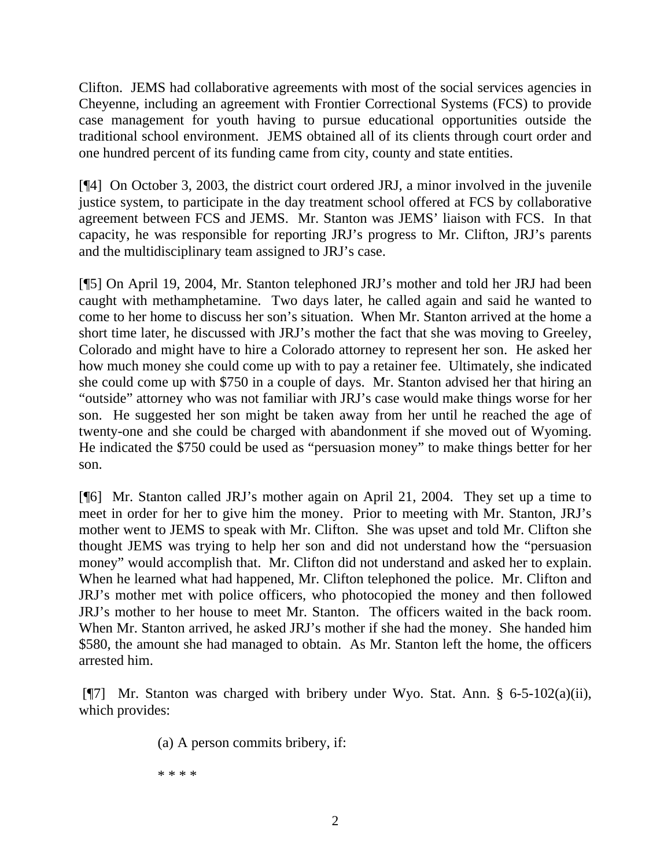Clifton. JEMS had collaborative agreements with most of the social services agencies in Cheyenne, including an agreement with Frontier Correctional Systems (FCS) to provide case management for youth having to pursue educational opportunities outside the traditional school environment. JEMS obtained all of its clients through court order and one hundred percent of its funding came from city, county and state entities.

[¶4] On October 3, 2003, the district court ordered JRJ, a minor involved in the juvenile justice system, to participate in the day treatment school offered at FCS by collaborative agreement between FCS and JEMS. Mr. Stanton was JEMS' liaison with FCS. In that capacity, he was responsible for reporting JRJ's progress to Mr. Clifton, JRJ's parents and the multidisciplinary team assigned to JRJ's case.

[¶5] On April 19, 2004, Mr. Stanton telephoned JRJ's mother and told her JRJ had been caught with methamphetamine. Two days later, he called again and said he wanted to come to her home to discuss her son's situation. When Mr. Stanton arrived at the home a short time later, he discussed with JRJ's mother the fact that she was moving to Greeley, Colorado and might have to hire a Colorado attorney to represent her son. He asked her how much money she could come up with to pay a retainer fee. Ultimately, she indicated she could come up with \$750 in a couple of days. Mr. Stanton advised her that hiring an "outside" attorney who was not familiar with JRJ's case would make things worse for her son. He suggested her son might be taken away from her until he reached the age of twenty-one and she could be charged with abandonment if she moved out of Wyoming. He indicated the \$750 could be used as "persuasion money" to make things better for her son.

[¶6] Mr. Stanton called JRJ's mother again on April 21, 2004. They set up a time to meet in order for her to give him the money. Prior to meeting with Mr. Stanton, JRJ's mother went to JEMS to speak with Mr. Clifton. She was upset and told Mr. Clifton she thought JEMS was trying to help her son and did not understand how the "persuasion money" would accomplish that. Mr. Clifton did not understand and asked her to explain. When he learned what had happened, Mr. Clifton telephoned the police. Mr. Clifton and JRJ's mother met with police officers, who photocopied the money and then followed JRJ's mother to her house to meet Mr. Stanton. The officers waited in the back room. When Mr. Stanton arrived, he asked JRJ's mother if she had the money. She handed him \$580, the amount she had managed to obtain. As Mr. Stanton left the home, the officers arrested him.

 [¶7] Mr. Stanton was charged with bribery under Wyo. Stat. Ann. § 6-5-102(a)(ii), which provides:

(a) A person commits bribery, if:

\* \* \* \*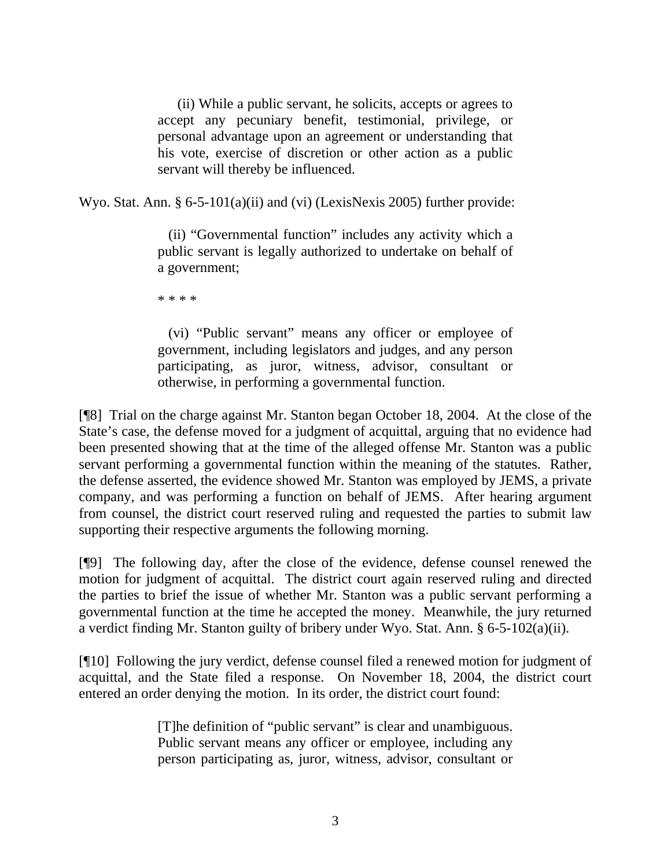(ii) While a public servant, he solicits, accepts or agrees to accept any pecuniary benefit, testimonial, privilege, or personal advantage upon an agreement or understanding that his vote, exercise of discretion or other action as a public servant will thereby be influenced.

Wyo. Stat. Ann. § 6-5-101(a)(ii) and (vi) (LexisNexis 2005) further provide:

 (ii) "Governmental function" includes any activity which a public servant is legally authorized to undertake on behalf of a government;

\* \* \* \*

 (vi) "Public servant" means any officer or employee of government, including legislators and judges, and any person participating, as juror, witness, advisor, consultant or otherwise, in performing a governmental function.

[¶8] Trial on the charge against Mr. Stanton began October 18, 2004. At the close of the State's case, the defense moved for a judgment of acquittal, arguing that no evidence had been presented showing that at the time of the alleged offense Mr. Stanton was a public servant performing a governmental function within the meaning of the statutes. Rather, the defense asserted, the evidence showed Mr. Stanton was employed by JEMS, a private company, and was performing a function on behalf of JEMS. After hearing argument from counsel, the district court reserved ruling and requested the parties to submit law supporting their respective arguments the following morning.

[¶9] The following day, after the close of the evidence, defense counsel renewed the motion for judgment of acquittal. The district court again reserved ruling and directed the parties to brief the issue of whether Mr. Stanton was a public servant performing a governmental function at the time he accepted the money. Meanwhile, the jury returned a verdict finding Mr. Stanton guilty of bribery under Wyo. Stat. Ann. § 6-5-102(a)(ii).

[¶10] Following the jury verdict, defense counsel filed a renewed motion for judgment of acquittal, and the State filed a response. On November 18, 2004, the district court entered an order denying the motion. In its order, the district court found:

> [T]he definition of "public servant" is clear and unambiguous. Public servant means any officer or employee, including any person participating as, juror, witness, advisor, consultant or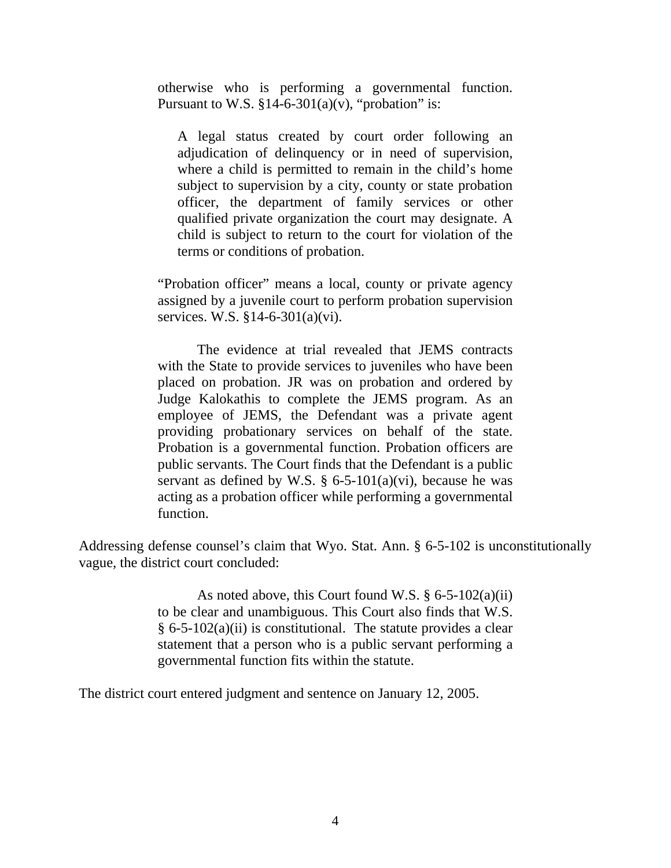otherwise who is performing a governmental function. Pursuant to W.S.  $$14-6-301(a)(v)$ , "probation" is:

A legal status created by court order following an adjudication of delinquency or in need of supervision, where a child is permitted to remain in the child's home subject to supervision by a city, county or state probation officer, the department of family services or other qualified private organization the court may designate. A child is subject to return to the court for violation of the terms or conditions of probation.

"Probation officer" means a local, county or private agency assigned by a juvenile court to perform probation supervision services. W.S. §14-6-301(a)(vi).

 The evidence at trial revealed that JEMS contracts with the State to provide services to juveniles who have been placed on probation. JR was on probation and ordered by Judge Kalokathis to complete the JEMS program. As an employee of JEMS, the Defendant was a private agent providing probationary services on behalf of the state. Probation is a governmental function. Probation officers are public servants. The Court finds that the Defendant is a public servant as defined by W.S.  $\S$  6-5-101(a)(vi), because he was acting as a probation officer while performing a governmental function.

Addressing defense counsel's claim that Wyo. Stat. Ann. § 6-5-102 is unconstitutionally vague, the district court concluded:

> As noted above, this Court found W.S.  $\S 6-5-102(a)(ii)$ to be clear and unambiguous. This Court also finds that W.S.  $§ 6-5-102(a)(ii)$  is constitutional. The statute provides a clear statement that a person who is a public servant performing a governmental function fits within the statute.

The district court entered judgment and sentence on January 12, 2005.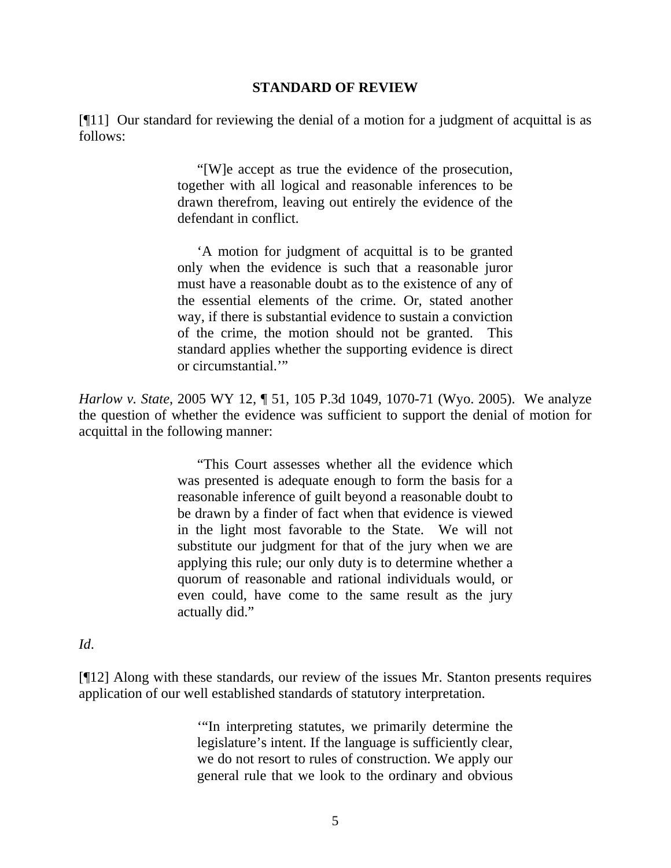#### **STANDARD OF REVIEW**

[¶11] Our standard for reviewing the denial of a motion for a judgment of acquittal is as follows:

> "[W]e accept as true the evidence of the prosecution, together with all logical and reasonable inferences to be drawn therefrom, leaving out entirely the evidence of the defendant in conflict.

> 'A motion for judgment of acquittal is to be granted only when the evidence is such that a reasonable juror must have a reasonable doubt as to the existence of any of the essential elements of the crime. Or, stated another way, if there is substantial evidence to sustain a conviction of the crime, the motion should not be granted. This standard applies whether the supporting evidence is direct or circumstantial.'"

*Harlow v. State*, 2005 WY 12, ¶ 51, 105 P.3d 1049, 1070-71 (Wyo. 2005). We analyze the question of whether the evidence was sufficient to support the denial of motion for acquittal in the following manner:

> "This Court assesses whether all the evidence which was presented is adequate enough to form the basis for a reasonable inference of guilt beyond a reasonable doubt to be drawn by a finder of fact when that evidence is viewed in the light most favorable to the State. We will not substitute our judgment for that of the jury when we are applying this rule; our only duty is to determine whether a quorum of reasonable and rational individuals would, or even could, have come to the same result as the jury actually did."

*Id*.

[¶12] Along with these standards, our review of the issues Mr. Stanton presents requires application of our well established standards of statutory interpretation.

> '"In interpreting statutes, we primarily determine the legislature's intent. If the language is sufficiently clear, we do not resort to rules of construction. We apply our general rule that we look to the ordinary and obvious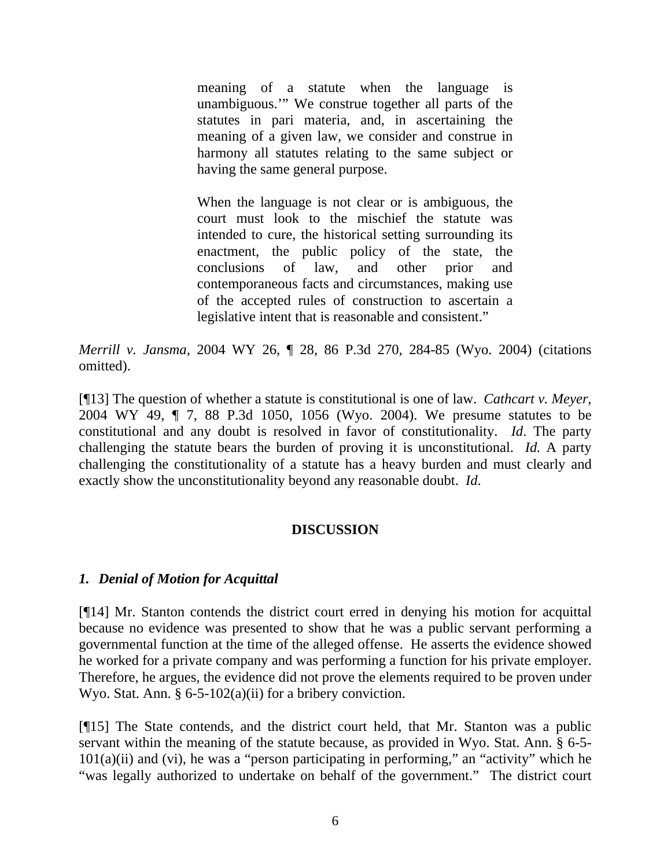meaning of a statute when the language is unambiguous.'" We construe together all parts of the statutes in pari materia, and, in ascertaining the meaning of a given law, we consider and construe in harmony all statutes relating to the same subject or having the same general purpose.

When the language is not clear or is ambiguous, the court must look to the mischief the statute was intended to cure, the historical setting surrounding its enactment, the public policy of the state, the conclusions of law, and other prior and contemporaneous facts and circumstances, making use of the accepted rules of construction to ascertain a legislative intent that is reasonable and consistent."

*Merrill v. Jansma*, 2004 WY 26, ¶ 28, 86 P.3d 270, 284-85 (Wyo. 2004) (citations omitted).

[¶13] The question of whether a statute is constitutional is one of law. *Cathcart v. Meyer*, 2004 WY 49, ¶ 7, 88 P.3d 1050, 1056 (Wyo. 2004). We presume statutes to be constitutional and any doubt is resolved in favor of constitutionality. *Id*. The party challenging the statute bears the burden of proving it is unconstitutional. *Id.* A party challenging the constitutionality of a statute has a heavy burden and must clearly and exactly show the unconstitutionality beyond any reasonable doubt. *Id*.

# **DISCUSSION**

# *1. Denial of Motion for Acquittal*

[¶14] Mr. Stanton contends the district court erred in denying his motion for acquittal because no evidence was presented to show that he was a public servant performing a governmental function at the time of the alleged offense. He asserts the evidence showed he worked for a private company and was performing a function for his private employer. Therefore, he argues, the evidence did not prove the elements required to be proven under Wyo. Stat. Ann. § 6-5-102(a)(ii) for a bribery conviction.

[¶15] The State contends, and the district court held, that Mr. Stanton was a public servant within the meaning of the statute because, as provided in Wyo. Stat. Ann. § 6-5-  $101(a)(ii)$  and (vi), he was a "person participating in performing," an "activity" which he "was legally authorized to undertake on behalf of the government." The district court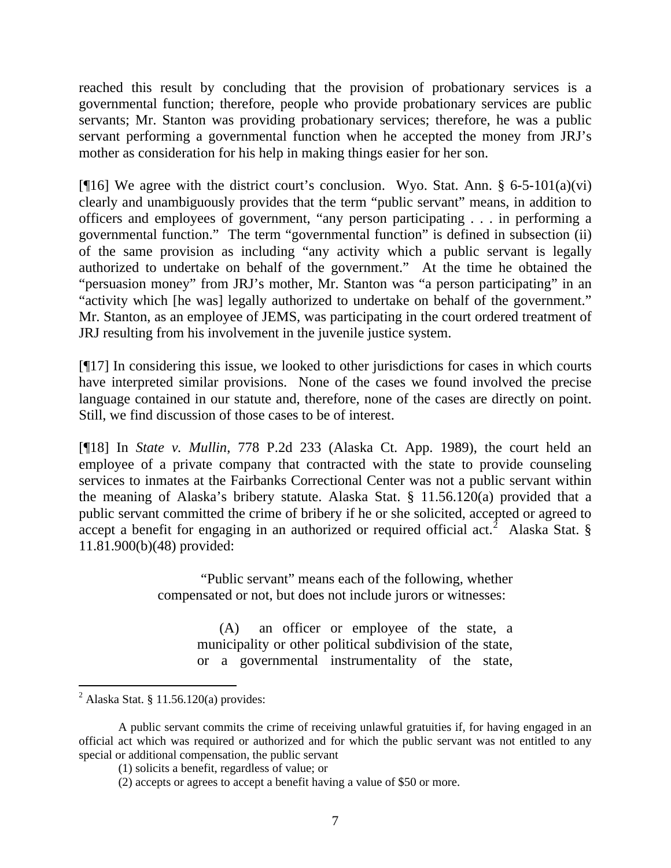reached this result by concluding that the provision of probationary services is a governmental function; therefore, people who provide probationary services are public servants; Mr. Stanton was providing probationary services; therefore, he was a public servant performing a governmental function when he accepted the money from JRJ's mother as consideration for his help in making things easier for her son.

[ $[16]$ ] We agree with the district court's conclusion. Wyo. Stat. Ann. § 6-5-101(a)(vi) clearly and unambiguously provides that the term "public servant" means, in addition to officers and employees of government, "any person participating . . . in performing a governmental function." The term "governmental function" is defined in subsection (ii) of the same provision as including "any activity which a public servant is legally authorized to undertake on behalf of the government." At the time he obtained the "persuasion money" from JRJ's mother, Mr. Stanton was "a person participating" in an "activity which [he was] legally authorized to undertake on behalf of the government." Mr. Stanton, as an employee of JEMS, was participating in the court ordered treatment of JRJ resulting from his involvement in the juvenile justice system.

[¶17] In considering this issue, we looked to other jurisdictions for cases in which courts have interpreted similar provisions. None of the cases we found involved the precise language contained in our statute and, therefore, none of the cases are directly on point. Still, we find discussion of those cases to be of interest.

[¶18] In *State v. Mullin*, 778 P.2d 233 (Alaska Ct. App. 1989), the court held an employee of a private company that contracted with the state to provide counseling services to inmates at the Fairbanks Correctional Center was not a public servant within the meaning of Alaska's bribery statute. Alaska Stat. § 11.56.120(a) provided that a public servant committed the crime of bribery if he or she solicited, accepted or agreed to accept a benefit for engaging in an authorized or required official act.<sup>[2](#page-8-0)</sup> Alaska Stat. § 11.81.900(b)(48) provided:

> "Public servant" means each of the following, whether compensated or not, but does not include jurors or witnesses:

> > (A) an officer or employee of the state, a municipality or other political subdivision of the state, or a governmental instrumentality of the state,

<span id="page-8-0"></span> $<sup>2</sup>$  Alaska Stat. § 11.56.120(a) provides:</sup>

A public servant commits the crime of receiving unlawful gratuities if, for having engaged in an official act which was required or authorized and for which the public servant was not entitled to any special or additional compensation, the public servant

 <sup>(1)</sup> solicits a benefit, regardless of value; or

 <sup>(2)</sup> accepts or agrees to accept a benefit having a value of \$50 or more.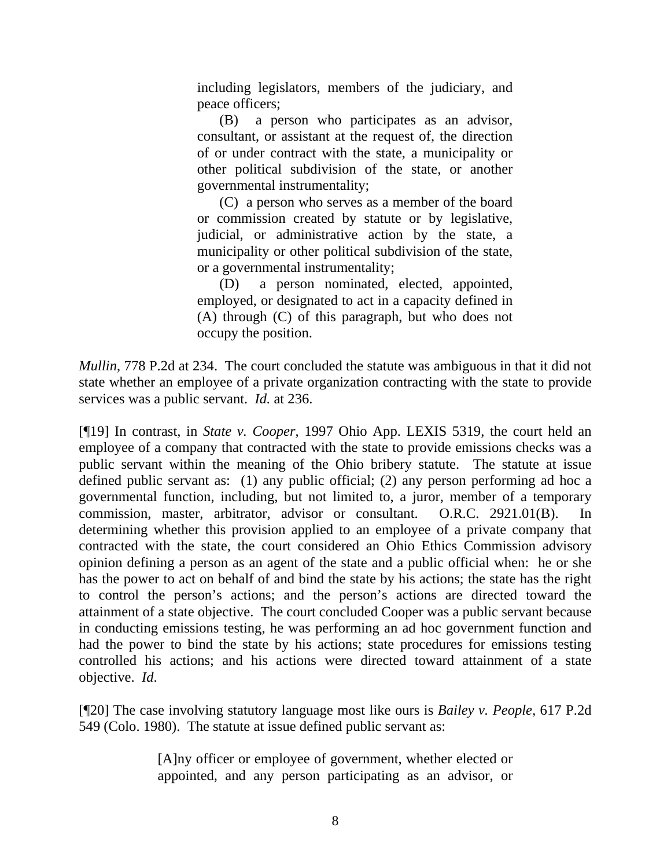including legislators, members of the judiciary, and peace officers;

(B) a person who participates as an advisor, consultant, or assistant at the request of, the direction of or under contract with the state, a municipality or other political subdivision of the state, or another governmental instrumentality;

(C) a person who serves as a member of the board or commission created by statute or by legislative, judicial, or administrative action by the state, a municipality or other political subdivision of the state, or a governmental instrumentality;

(D) a person nominated, elected, appointed, employed, or designated to act in a capacity defined in (A) through (C) of this paragraph, but who does not occupy the position.

*Mullin*, 778 P.2d at 234. The court concluded the statute was ambiguous in that it did not state whether an employee of a private organization contracting with the state to provide services was a public servant. *Id.* at 236.

[¶19] In contrast, in *State v. Cooper*, 1997 Ohio App. LEXIS 5319, the court held an employee of a company that contracted with the state to provide emissions checks was a public servant within the meaning of the Ohio bribery statute. The statute at issue defined public servant as: (1) any public official; (2) any person performing ad hoc a governmental function, including, but not limited to, a juror, member of a temporary commission, master, arbitrator, advisor or consultant. O.R.C. 2921.01(B). In determining whether this provision applied to an employee of a private company that contracted with the state, the court considered an Ohio Ethics Commission advisory opinion defining a person as an agent of the state and a public official when: he or she has the power to act on behalf of and bind the state by his actions; the state has the right to control the person's actions; and the person's actions are directed toward the attainment of a state objective. The court concluded Cooper was a public servant because in conducting emissions testing, he was performing an ad hoc government function and had the power to bind the state by his actions; state procedures for emissions testing controlled his actions; and his actions were directed toward attainment of a state objective. *Id*.

[¶20] The case involving statutory language most like ours is *Bailey v. People*, 617 P.2d 549 (Colo. 1980). The statute at issue defined public servant as:

> [A]ny officer or employee of government, whether elected or appointed, and any person participating as an advisor, or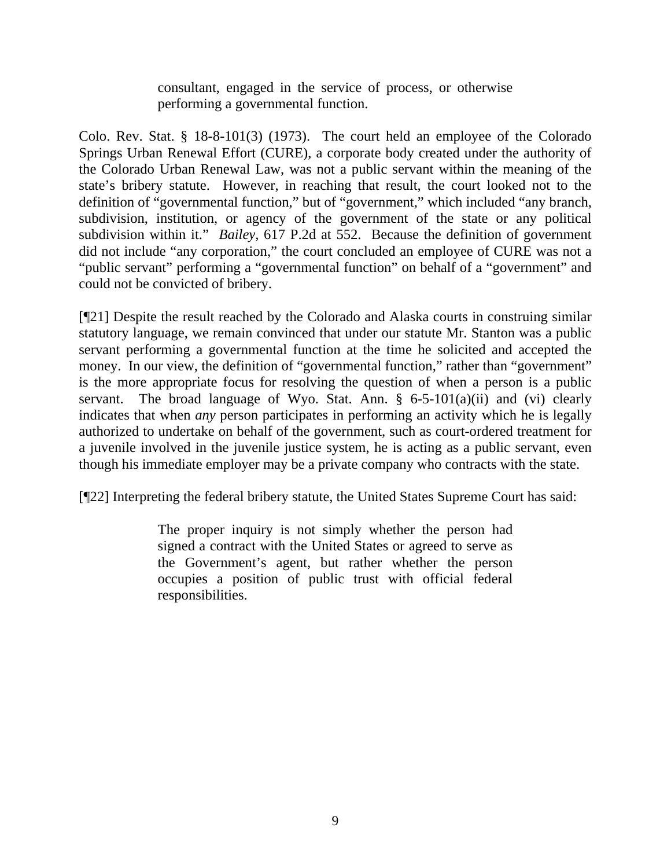consultant, engaged in the service of process, or otherwise performing a governmental function.

Colo. Rev. Stat. § 18-8-101(3) (1973). The court held an employee of the Colorado Springs Urban Renewal Effort (CURE), a corporate body created under the authority of the Colorado Urban Renewal Law, was not a public servant within the meaning of the state's bribery statute. However, in reaching that result, the court looked not to the definition of "governmental function," but of "government," which included "any branch, subdivision, institution, or agency of the government of the state or any political subdivision within it." *Bailey,* 617 P.2d at 552. Because the definition of government did not include "any corporation," the court concluded an employee of CURE was not a "public servant" performing a "governmental function" on behalf of a "government" and could not be convicted of bribery.

[¶21] Despite the result reached by the Colorado and Alaska courts in construing similar statutory language, we remain convinced that under our statute Mr. Stanton was a public servant performing a governmental function at the time he solicited and accepted the money. In our view, the definition of "governmental function," rather than "government" is the more appropriate focus for resolving the question of when a person is a public servant. The broad language of Wyo. Stat. Ann.  $\S$  6-5-101(a)(ii) and (vi) clearly indicates that when *any* person participates in performing an activity which he is legally authorized to undertake on behalf of the government, such as court-ordered treatment for a juvenile involved in the juvenile justice system, he is acting as a public servant, even though his immediate employer may be a private company who contracts with the state.

[¶22] Interpreting the federal bribery statute, the United States Supreme Court has said:

The proper inquiry is not simply whether the person had signed a contract with the United States or agreed to serve as the Government's agent, but rather whether the person occupies a position of public trust with official federal responsibilities.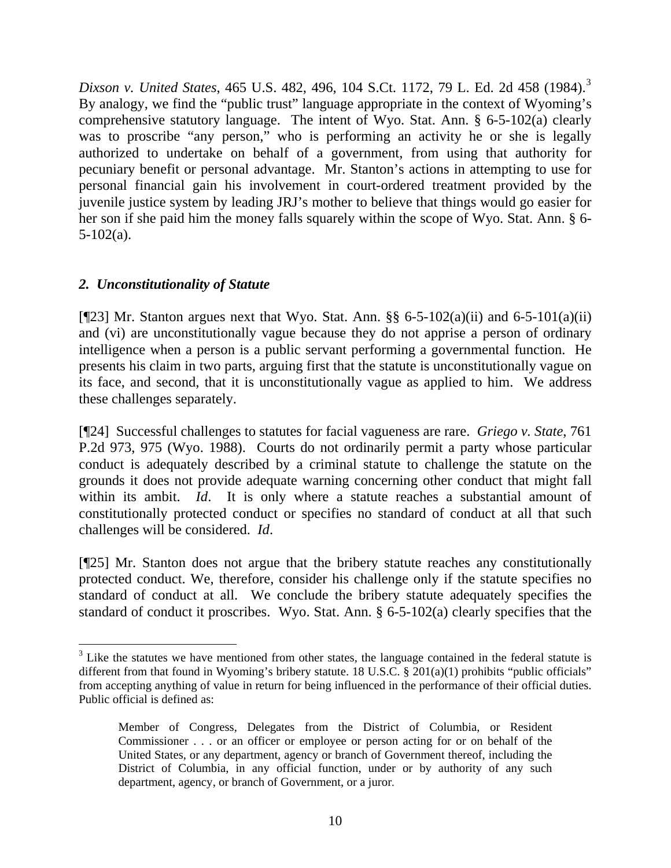*Dixson v. United States*, 465 U.S. 482, 496, 104 S.Ct. 1172, 79 L. Ed. 2d 458 (1984).[3](#page-11-0) By analogy, we find the "public trust" language appropriate in the context of Wyoming's comprehensive statutory language. The intent of Wyo. Stat. Ann. § 6-5-102(a) clearly was to proscribe "any person," who is performing an activity he or she is legally authorized to undertake on behalf of a government, from using that authority for pecuniary benefit or personal advantage. Mr. Stanton's actions in attempting to use for personal financial gain his involvement in court-ordered treatment provided by the juvenile justice system by leading JRJ's mother to believe that things would go easier for her son if she paid him the money falls squarely within the scope of Wyo. Stat. Ann. § 6- 5-102(a).

### *2. Unconstitutionality of Statute*

[ $[$ [23] Mr. Stanton argues next that Wyo. Stat. Ann. §§ 6-5-102(a)(ii) and 6-5-101(a)(ii) and (vi) are unconstitutionally vague because they do not apprise a person of ordinary intelligence when a person is a public servant performing a governmental function. He presents his claim in two parts, arguing first that the statute is unconstitutionally vague on its face, and second, that it is unconstitutionally vague as applied to him. We address these challenges separately.

[¶24] Successful challenges to statutes for facial vagueness are rare. *Griego v. State*, 761 P.2d 973, 975 (Wyo. 1988). Courts do not ordinarily permit a party whose particular conduct is adequately described by a criminal statute to challenge the statute on the grounds it does not provide adequate warning concerning other conduct that might fall within its ambit. *Id*. It is only where a statute reaches a substantial amount of constitutionally protected conduct or specifies no standard of conduct at all that such challenges will be considered. *Id*.

[¶25] Mr. Stanton does not argue that the bribery statute reaches any constitutionally protected conduct. We, therefore, consider his challenge only if the statute specifies no standard of conduct at all. We conclude the bribery statute adequately specifies the standard of conduct it proscribes. Wyo. Stat. Ann. § 6-5-102(a) clearly specifies that the

<span id="page-11-0"></span> $3$  Like the statutes we have mentioned from other states, the language contained in the federal statute is different from that found in Wyoming's bribery statute. 18 U.S.C. § 201(a)(1) prohibits "public officials" from accepting anything of value in return for being influenced in the performance of their official duties. Public official is defined as:

Member of Congress, Delegates from the District of Columbia, or Resident Commissioner . . . or an officer or employee or person acting for or on behalf of the United States, or any department, agency or branch of Government thereof, including the District of Columbia, in any official function, under or by authority of any such department, agency, or branch of Government, or a juror.